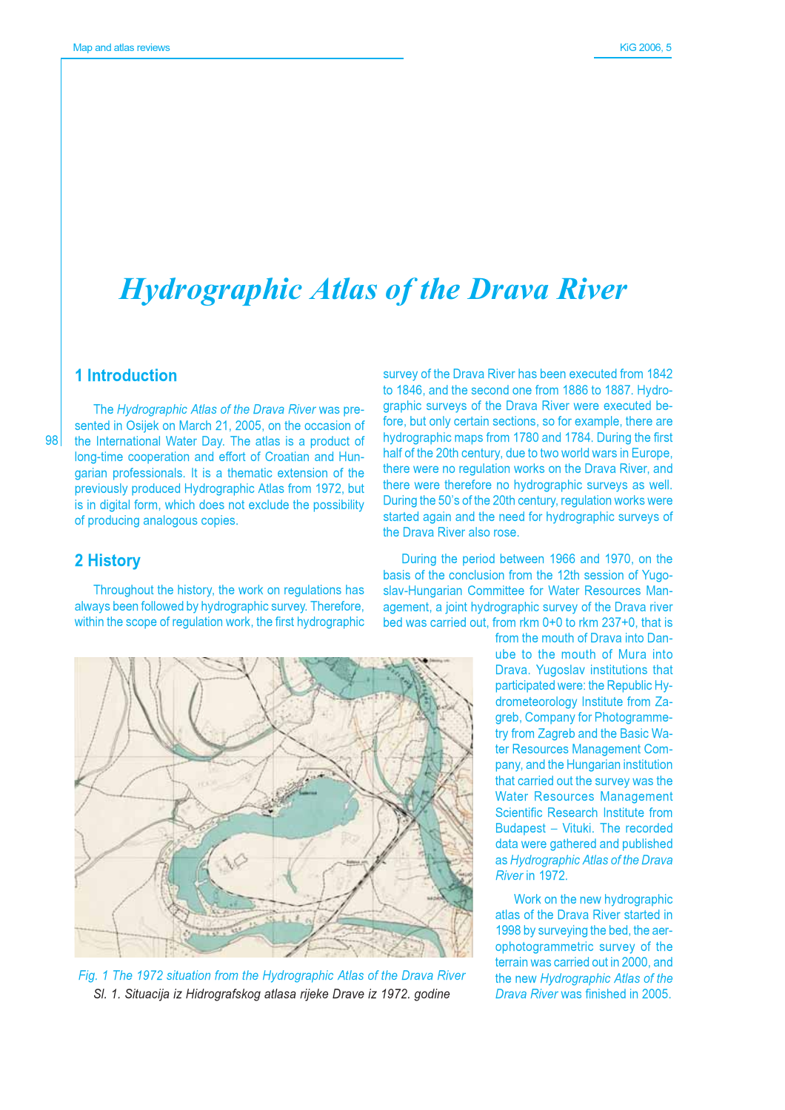# **Hydrographic Atlas of the Drava River**

# **1** Introduction

The Hydrographic Atlas of the Drava River was presented in Osijek on March 21, 2005, on the occasion of the International Water Day. The atlas is a product of long-time cooperation and effort of Croatian and Hungarian professionals. It is a thematic extension of the previously produced Hydrographic Atlas from 1972, but is in digital form, which does not exclude the possibility of producing analogous copies.

## 2 History

 $98<sup>1</sup>$ 

Throughout the history, the work on regulations has always been followed by hydrographic survey. Therefore, within the scope of regulation work, the first hydrographic survey of the Drava River has been executed from 1842 to 1846, and the second one from 1886 to 1887. Hydrographic surveys of the Drava River were executed before, but only certain sections, so for example, there are hydrographic maps from 1780 and 1784. During the first half of the 20th century, due to two world wars in Europe, there were no regulation works on the Drava River, and there were therefore no hydrographic surveys as well. During the 50's of the 20th century, regulation works were started again and the need for hydrographic surveys of the Drava River also rose.

During the period between 1966 and 1970, on the basis of the conclusion from the 12th session of Yugoslav-Hungarian Committee for Water Resources Management, a joint hydrographic survey of the Draya river bed was carried out, from rkm 0+0 to rkm 237+0, that is



Fig. 1 The 1972 situation from the Hydrographic Atlas of the Drava River SI. 1. Situacija iz Hidrografskog atlasa rijeke Drave iz 1972. godine

from the mouth of Drava into Danube to the mouth of Mura into Drava. Yugoslav institutions that participated were: the Republic Hydrometeorology Institute from Zagreb, Company for Photogrammetry from Zagreb and the Basic Water Resources Management Company, and the Hungarian institution that carried out the survey was the **Water Resources Management** Scientific Research Institute from Budapest - Vituki. The recorded data were gathered and published as Hydrographic Atlas of the Drava **River in 1972.** 

Work on the new hydrographic atlas of the Drava River started in 1998 by surveying the bed, the aerophotogrammetric survey of the terrain was carried out in 2000, and the new Hydrographic Atlas of the Drava River was finished in 2005.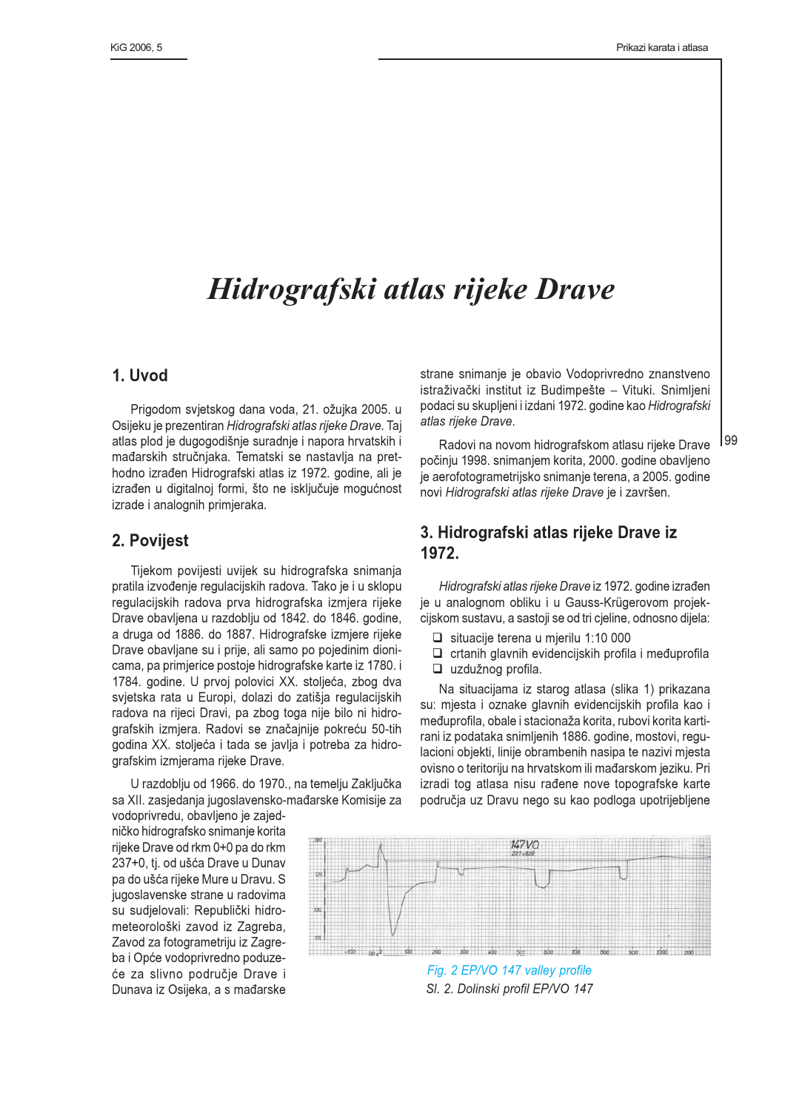# Hidrografski atlas rijeke Drave

## 1. Uvod

Prigodom svjetskog dana voda, 21. ožujka 2005. u Osijeku je prezentiran Hidrografski atlas rijeke Drave. Taj atlas plod je dugogodišnje suradnje i napora hrvatskih i mađarskih stručnjaka. Tematski se nastavlja na prethodno izrađen Hidrografski atlas iz 1972. godine, ali je izrađen u digitalnoj formi, što ne isključuje mogućnost izrade i analognih primjeraka.

## 2. Povijest

Tijekom povijesti uvijek su hidrografska snimanja pratila izvođenje regulacijskih radova. Tako je i u sklopu regulacijskih radova prva hidrografska izmiera rijeke Drave obavljena u razdoblju od 1842. do 1846. godine. a druga od 1886. do 1887. Hidrografske izmjere rijeke Drave obavljane su i prije, ali samo po pojedinim dionicama, pa primierice postoje hidrografske karte iz 1780. i 1784. godine. U prvoj polovici XX. stoljeća, zbog dva svjetska rata u Europi, dolazi do zatišja regulacijskih radova na rijeci Dravi, pa zbog toga nije bilo ni hidrografskih izmiera. Radovi se značajnije pokreću 50-tih godina XX. stoljeća i tada se javlja i potreba za hidrografskim izmjerama rijeke Drave.

U razdoblju od 1966. do 1970., na temelju Zaključka sa XII. zasjedanja jugoslavensko-mađarske Komisije za

vodoprivredu, obavljeno je zajedničko hidrografsko snimanje korita rijeke Drave od rkm 0+0 pa do rkm 237+0, tj. od ušća Drave u Dunav pa do ušća rijeke Mure u Dravu. S jugoslavenske strane u radovima su sudjelovali: Republički hidrometeorološki zavod iz Zagreba, Zavod za fotogrametriju iz Zagreba i Opće vodoprivredno poduzeće za slivno područje Drave i Dunava iz Osijeka, a s mađarske

strane snimanie je obavio Vodoprivredno znanstveno istraživački institut iz Budimpešte - Vituki. Snimljeni podaci su skupljeni i izdani 1972. godine kao Hidrografski atlas rijeke Drave.

Radovi na novom hidrografskom atlasu rijeke Drave počinju 1998. snimanjem korita, 2000. godine obavljeno je aerofotogrametrijsko snimanje terena, a 2005. godine novi Hidrografski atlas rijeke Drave je i završen.

# 3. Hidrografski atlas rijeke Drave iz 1972.

Hidrografski atlas rijeke Drave iz 1972. godine izrađen je u analognom obliku i u Gauss-Krügerovom projekcijskom sustavu, a sastoji se od tri cjeline, odnosno dijela:

- □ situacije terena u mjerilu 1:10 000
- $\Box$  crtanih glavnih evidencijskih profila i međuprofila
- □ uzdužnog profila.

Na situacijama iz starog atlasa (slika 1) prikazana su: mjesta i oznake glavnih evidencijskih profila kao i međuprofila, obale i stacionaža korita, rubovi korita kartirani iz podataka snimljenih 1886. godine, mostovi, regulacioni objekti, linije obrambenih nasipa te nazivi mjesta ovisno o teritoriju na hrvatskom ili mađarskom jeziku. Pri izradi tog atlasa nisu rađene nove topografske karte područja uz Dravu nego su kao podloga upotrijebljene



Fig. 2 EP/VO 147 valley profile SI. 2. Dolinski profil EP/VO 147

l 99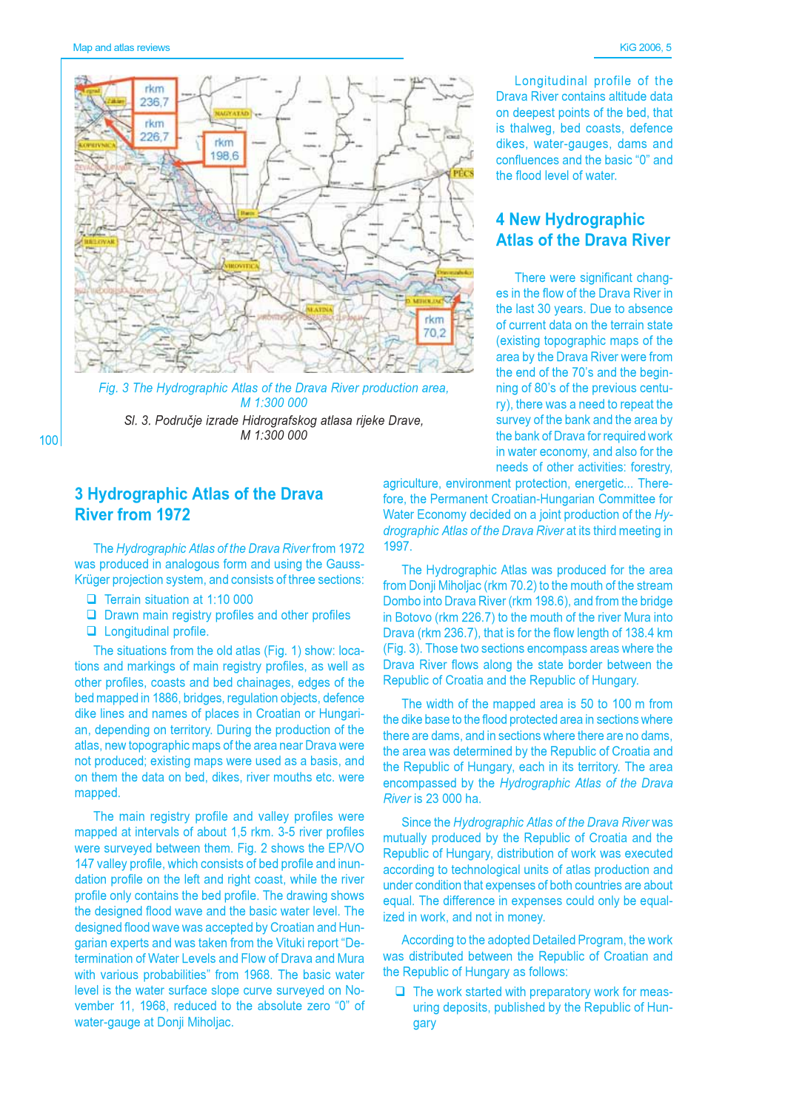





# **3 Hydrographic Atlas of the Drava River from 1972**

The Hydrographic Atlas of the Draya River from 1972 was produced in analogous form and using the Gauss-Krüger projection system, and consists of three sections:

- $\Box$  Terrain situation at 1:10 000
- □ Drawn main registry profiles and other profiles
- $\Box$  Longitudinal profile.

The situations from the old atlas (Fig. 1) show: locations and markings of main registry profiles, as well as other profiles, coasts and bed chainages, edges of the bed mapped in 1886, bridges, regulation objects, defence dike lines and names of places in Croatian or Hungarian, depending on territory. During the production of the atlas, new topographic maps of the area near Drava were not produced; existing maps were used as a basis, and on them the data on bed, dikes, river mouths etc. were mapped.

The main registry profile and valley profiles were mapped at intervals of about 1,5 rkm. 3-5 river profiles were surveyed between them. Fig. 2 shows the EP/VO 147 valley profile, which consists of bed profile and inundation profile on the left and right coast, while the river profile only contains the bed profile. The drawing shows the designed flood wave and the basic water level. The designed flood wave was accepted by Croatian and Hungarian experts and was taken from the Vituki report "Determination of Water Levels and Flow of Drava and Mura with various probabilities" from 1968. The basic water level is the water surface slope curve surveyed on November 11, 1968, reduced to the absolute zero "0" of water-gauge at Donji Miholjac.

Longitudinal profile of the Drava River contains altitude data on deepest points of the bed, that is thalweg, bed coasts, defence dikes, water-gauges, dams and confluences and the basic "0" and the flood level of water.

# **4 New Hydrographic Atlas of the Drava River**

There were significant changes in the flow of the Drava River in the last 30 years. Due to absence of current data on the terrain state (existing topographic maps of the area by the Drava River were from the end of the 70's and the beginning of 80's of the previous century), there was a need to repeat the survey of the bank and the area by the bank of Drava for required work in water economy, and also for the needs of other activities: forestry.

agriculture, environment protection, energetic... Therefore, the Permanent Croatian-Hungarian Committee for Water Economy decided on a joint production of the Hydrographic Atlas of the Drava River at its third meeting in 1997.

The Hydrographic Atlas was produced for the area from Donji Miholjac (rkm 70.2) to the mouth of the stream Dombo into Drava River (rkm 198.6), and from the bridge in Botovo (rkm 226.7) to the mouth of the river Mura into Drava (rkm 236.7), that is for the flow length of 138.4 km (Fig. 3). Those two sections encompass areas where the Drava River flows along the state border between the Republic of Croatia and the Republic of Hungary.

The width of the mapped area is 50 to 100 m from the dike base to the flood protected area in sections where there are dams, and in sections where there are no dams, the area was determined by the Republic of Croatia and the Republic of Hungary, each in its territory. The area encompassed by the Hydrographic Atlas of the Drava River is 23 000 ha.

Since the Hydrographic Atlas of the Drava River was mutually produced by the Republic of Croatia and the Republic of Hungary, distribution of work was executed according to technological units of atlas production and under condition that expenses of both countries are about equal. The difference in expenses could only be equalized in work, and not in money.

According to the adopted Detailed Program, the work was distributed between the Republic of Croatian and the Republic of Hungary as follows:

 $\Box$  The work started with preparatory work for measuring deposits, published by the Republic of Hungary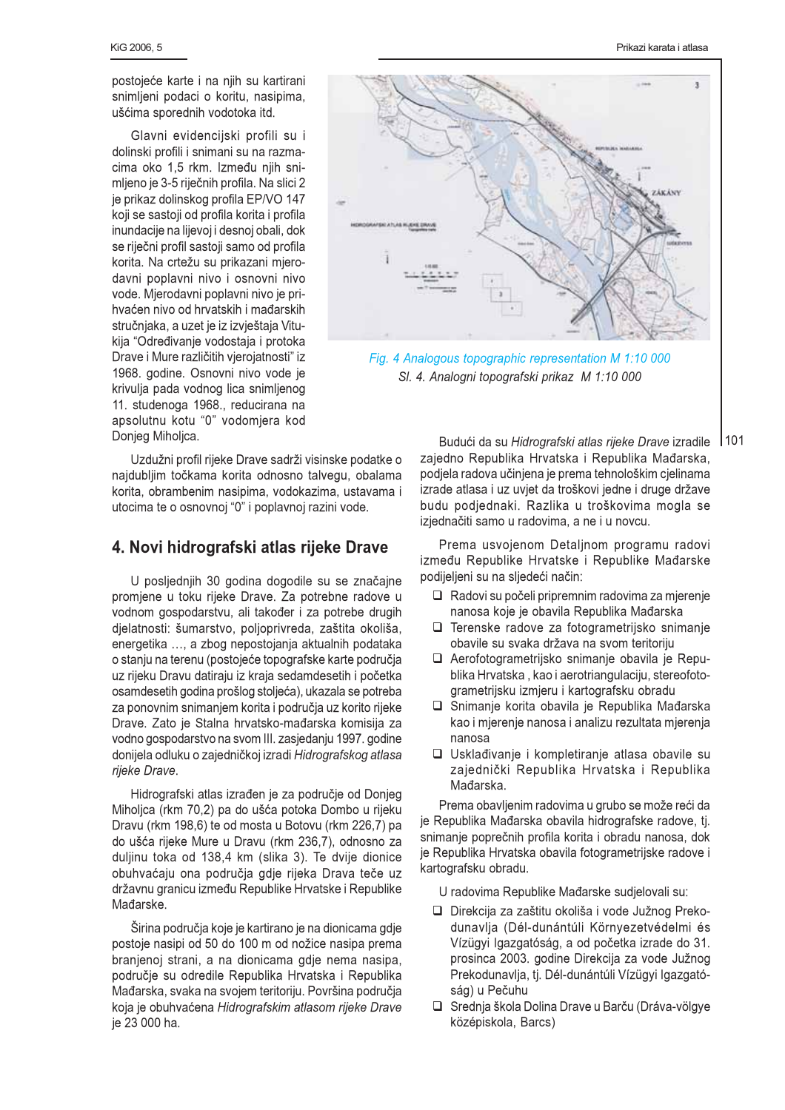postojeće karte i na njih su kartirani snimlieni podaci o koritu, nasipima. ušćima sporednih vodotoka itd.

Glavni evidencijski profili su i dolinski profili i snimani su na razmacima oko 1,5 rkm. Između njih snimljeno je 3-5 riječnih profila. Na slici 2 je prikaz dolinskog profila EP/VO 147 koji se sastoji od profila korita i profila inundacije na lijevoj i desnoj obali, dok se riječni profil sastoji samo od profila korita. Na crtežu su prikazani mierodavni poplavni nivo i osnovni nivo vode. Mjerodavni poplavni nivo je prihvaćen nivo od hrvatskih i mađarskih stručnjaka, a uzet je iz izvještaja Vitukija "Određivanje vodostaja i protoka Drave i Mure različitih vjerojatnosti" iz 1968. godine. Osnovni nivo vode je krivulja pada vodnog lica snimljenog 11. studenoga 1968., reducirana na apsolutnu kotu "0" vodomjera kod Donjeg Miholjca.

Uzdužni profil rijeke Drave sadrži visinske podatke o najdubljim točkama korita odnosno talvegu, obalama korita, obrambenim nasipima, vodokazima, ustavama i utocima te o osnovnoj "0" i poplavnoj razini vode.

# 4. Novi hidrografski atlas rijeke Drave

U posljednjih 30 godina dogodile su se značajne promjene u toku rijeke Drave. Za potrebne radove u vodnom gospodarstvu, ali također i za potrebe drugih dielatnosti: šumarstvo, polioprivreda, zaštita okoliša, energetika ..., a zbog nepostojanja aktualnih podataka o stanju na terenu (postojeće topografske karte područja uz rijeku Dravu datiraju iz kraja sedamdesetih i početka osamdesetih godina prošlog stoljeća), ukazala se potreba za ponovnim snimanjem korita i područja uz korito rijeke Drave. Zato je Stalna hrvatsko-mađarska komisija za vodno gospodarstvo na svom III. zasjedanju 1997. godine donijela odluku o zajedničkoj izradi Hidrografskog atlasa rijeke Drave.

Hidrografski atlas izrađen je za područje od Donjeg Miholica (rkm 70.2) pa do ušća potoka Dombo u rijeku Dravu (rkm 198,6) te od mosta u Botovu (rkm 226,7) pa do ušća rijeke Mure u Dravu (rkm 236,7), odnosno za duljinu toka od 138,4 km (slika 3). Te dvije dionice obuhvaćaju ona područja gdje rijeka Drava teče uz državnu granicu između Republike Hrvatske i Republike Mađarske.

Širina područja koje je kartirano je na dionicama gdje postoje nasipi od 50 do 100 m od nožice nasipa prema branjenoj strani, a na dionicama gdje nema nasipa, područje su odredile Republika Hrvatska i Republika Mađarska, svaka na svojem teritoriju. Površina područja koja je obuhvaćena Hidrografskim atlasom rijeke Drave je 23 000 ha.



Fig. 4 Analogous topographic representation M 1:10 000 SI. 4. Analogni topografski prikaz M 1:10 000

> Budući da su Hidrografski atlas rijeke Drave izradile zajedno Republika Hrvatska i Republika Mađarska, podjela radova učinjena je prema tehnološkim cjelinama izrade atlasa i uz uvjet da troškovi jedne i druge države budu podjednaki. Razlika u troškovima mogla se izjednačiti samo u radovima, a ne i u novcu.

Prema usvojenom Detaljnom programu radovi između Republike Hrvatske i Republike Mađarske podijeljeni su na sljedeći način:

- $\Box$  Radovi su počeli pripremnim radovima za mierenie nanosa koje je obavila Republika Mađarska
- □ Terenske radove za fotogrametrijsko snimanje obavile su svaka država na svom teritoriju
- Aerofotogrametrijsko snimanje obavila je Republika Hrvatska, kao i aerotriangulaciju, stereofotogrametrijsku izmieru i kartografsku obradu
- □ Snimanie korita obavila ie Republika Mađarska kao i mierenie nanosa i analizu rezultata mierenia nanosa
- □ Usklađivanje i kompletiranje atlasa obavile su zajednički Republika Hrvatska i Republika Mađarska.

Prema obavljenim radovima u grubo se može reći da je Republika Mađarska obavila hidrografske radove, ti. snimanje poprečnih profila korita i obradu nanosa, dok je Republika Hrvatska obavila fotogrametrijske radove i kartografsku obradu.

U radovima Republike Mađarske sudjelovali su:

- □ Direkcija za zaštitu okoliša i vode Južnog Prekodunavlja (Dél-dunántúli Környezetvédelmi és Vízügyi Igazgatóság, a od početka izrade do 31. prosinca 2003. godine Direkcija za vode Južnog Prekodunavlja, tj. Dél-dunántúli Vízügyi Igazgatóság) u Pečuhu
- □ Srednia škola Dolina Drave u Barču (Dráva-völgye középiskola, Barcs)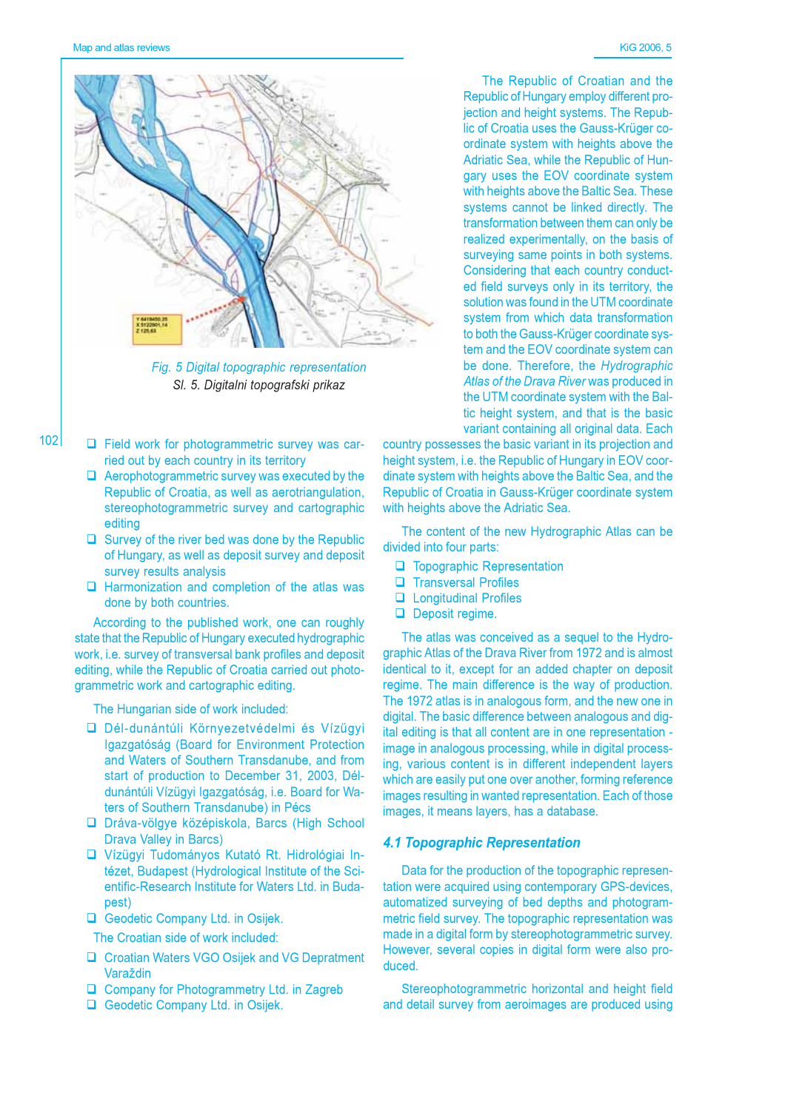

Fig. 5 Digital topographic representation SI, 5. Digitalni topografski prikaz

- □ Field work for photogrammetric survey was carried out by each country in its territory
- $\Box$  Aerophotogrammetric survey was executed by the Republic of Croatia, as well as aerotriangulation. stereophotogrammetric survey and cartographic editina
- $\Box$  Survey of the river bed was done by the Republic of Hungary, as well as deposit survey and deposit survey results analysis
- $\Box$  Harmonization and completion of the atlas was done by both countries.

According to the published work, one can roughly state that the Republic of Hungary executed hydrographic work, i.e. survey of transversal bank profiles and deposit editing, while the Republic of Croatia carried out photogrammetric work and cartographic editing.

The Hungarian side of work included:

- □ Dél-dunántúli Környezetvédelmi és Vízügyi Igazgatóság (Board for Environment Protection and Waters of Southern Transdanube, and from start of production to December 31, 2003, Déldunántúli Vízügyi Igazgatóság, i.e. Board for Waters of Southern Transdanube) in Pécs
- □ Dráva-völgye középiskola, Barcs (High School Drava Valley in Barcs)
- U Vízügyi Tudományos Kutató Rt. Hidrológiai Intézet, Budapest (Hydrological Institute of the Scientific-Research Institute for Waters Ltd. in Budapest)
- Geodetic Company Ltd. in Osijek.

The Croatian side of work included:

- □ Croatian Waters VGO Osijek and VG Depratment Varaždin
- **Q** Company for Photogrammetry Ltd. in Zagreb
- Geodetic Company Ltd. in Osijek.

The Republic of Croatian and the Republic of Hungary employ different projection and height systems. The Republic of Croatia uses the Gauss-Krüger coordinate system with heights above the Adriatic Sea, while the Republic of Hungary uses the EOV coordinate system with heights above the Baltic Sea. These systems cannot be linked directly. The transformation between them can only be realized experimentally, on the basis of surveying same points in both systems. Considering that each country conducted field surveys only in its territory, the solution was found in the UTM coordinate system from which data transformation to both the Gauss-Krüger coordinate system and the EOV coordinate system can be done. Therefore, the Hydrographic Atlas of the Drava River was produced in the UTM coordinate system with the Baltic height system, and that is the basic variant containing all original data. Each

country possesses the basic variant in its projection and height system, i.e. the Republic of Hungary in EOV coordinate system with heights above the Baltic Sea, and the Republic of Croatia in Gauss-Krüger coordinate system with heights above the Adriatic Sea.

The content of the new Hydrographic Atlas can be divided into four parts:

- **Q** Topographic Representation
- **Q** Transversal Profiles
- **Q** Longitudinal Profiles
- $\Box$  Deposit regime.

The atlas was conceived as a sequel to the Hydrographic Atlas of the Drava River from 1972 and is almost identical to it, except for an added chapter on deposit regime. The main difference is the way of production. The 1972 atlas is in analogous form, and the new one in digital. The basic difference between analogous and digital editing is that all content are in one representation image in analogous processing, while in digital processing, various content is in different independent layers which are easily put one over another, forming reference images resulting in wanted representation. Each of those images, it means layers, has a database.

#### **4.1 Topographic Representation**

Data for the production of the topographic representation were acquired using contemporary GPS-devices, automatized surveying of bed depths and photogrammetric field survey. The topographic representation was made in a digital form by stereophotogrammetric survey. However, several copies in digital form were also produced.

Stereophotogrammetric horizontal and height field and detail survey from aeroimages are produced using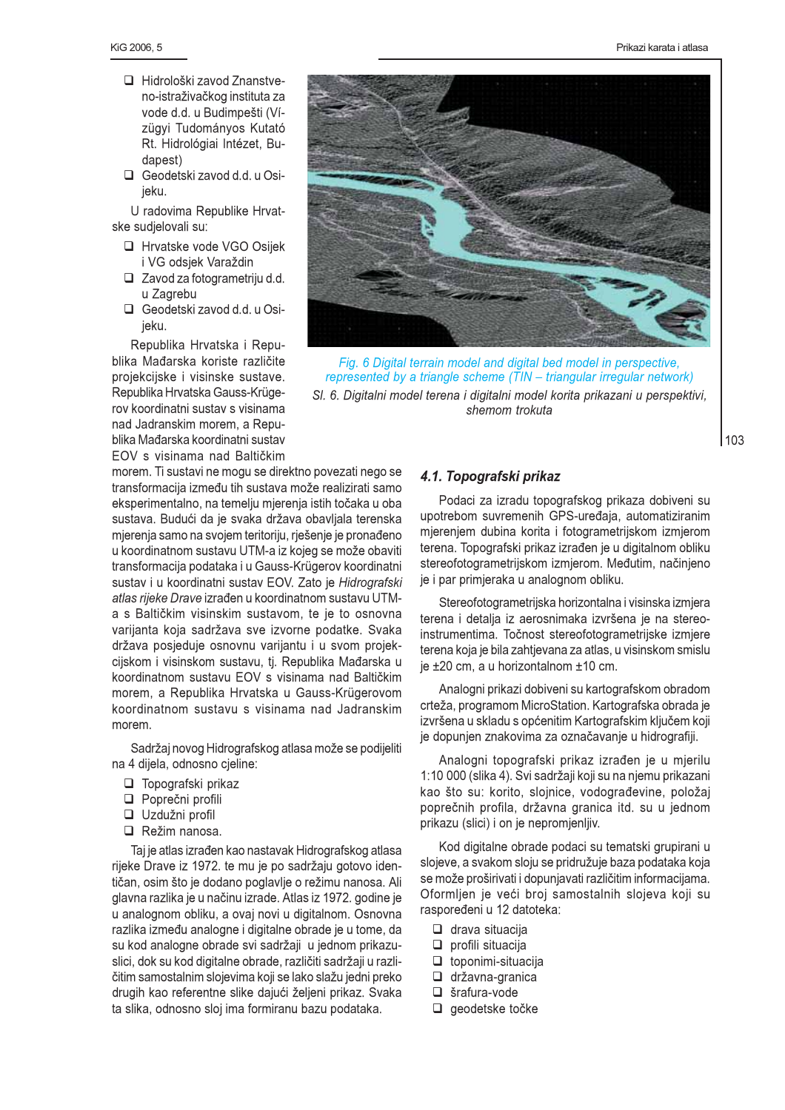Prikazi karata i atlasa

- Hidrološki zavod Znanstveno-istraživačkog instituta za vode d.d. u Budimpešti (Vízügyi Tudományos Kutató Rt. Hidrológiai Intézet. Budapest)
- □ Geodetski zavod d.d. u Osiieku.

U radovima Republike Hrvatske sudjelovali su:

- □ Hrvatske vode VGO Osijek i VG odsjek Varaždin
- $\Box$  Zavod za fotogrametriju d.d. u Zagrebu
- Geodetski zavod d.d. u Osijeku.

Republika Hrvatska i Republika Mađarska koriste različite projekcijske i visinske sustave. Republika Hrvatska Gauss-Krügerov koordinatni sustav s visinama nad Jadranskim morem, a Republika Mađarska koordinatni sustav EOV s visinama nad Baltičkim



Fig. 6 Digital terrain model and digital bed model in perspective, represented by a triangle scheme (TIN - triangular irregular network) SI. 6. Digitalni model terena i digitalni model korita prikazani u perspektivi, shemom trokuta

morem. Ti sustavi ne mogu se direktno povezati nego se transformacija između tih sustava može realizirati samo eksperimentalno, na temelju mjerenja istih točaka u oba sustava. Budući da je svaka država obavljala terenska mjerenja samo na svojem teritoriju, rješenje je pronađeno u koordinatnom sustavu UTM-a iz kojeg se može obaviti transformacija podataka i u Gauss-Krügerov koordinatni sustav i u koordinatni sustav EOV. Zato je Hidrografski atlas rijeke Drave izrađen u koordinatnom sustavu UTMa s Baltičkim visinskim sustavom, te je to osnovna varijanta koja sadržava sve izvorne podatke. Svaka država posjeduje osnovnu varijantu i u svom projekcijskom i visinskom sustavu, tj. Republika Mađarska u koordinatnom sustavu EOV s visinama nad Baltičkim morem, a Republika Hrvatska u Gauss-Krügerovom koordinatnom sustavu s visinama nad Jadranskim morem

Sadržaj novog Hidrografskog atlasa može se podijeliti na 4 dijela, odnosno cjeline:

- $\Box$  Topografski prikaz
- Poprečni profili
- Uzdužni profil
- $\Box$  Režim nanosa.

Taj je atlas izrađen kao nastavak Hidrografskog atlasa rijeke Drave iz 1972. te mu je po sadržaju gotovo identičan, osim što je dodano poglavlje o režimu nanosa. Ali glavna razlika je u načinu izrade. Atlas iz 1972. godine je u analognom obliku, a ovaj novi u digitalnom. Osnovna razlika između analogne i digitalne obrade je u tome, da su kod analogne obrade svi sadržaji u jednom prikazuslici, dok su kod digitalne obrade, različiti sadržaji u različitim samostalnim slojevima koji se lako slažu jedni preko drugih kao referentne slike dajući željeni prikaz. Svaka ta slika, odnosno sloj ima formiranu bazu podataka.

#### 4.1. Topografski prikaz

Podaci za izradu topografskog prikaza dobiveni su upotrebom suvremenih GPS-uređaja, automatiziranim miereniem dubina korita i fotogrametrijskom izmierom terena. Topografski prikaz izrađen je u digitalnom obliku stereofotogrametrijskom izmjerom. Međutim, načinjeno je i par primjeraka u analognom obliku.

Stereofotogrametrijska horizontalna i visinska izmiera terena i detalia iz aerosnimaka izvršena je na stereoinstrumentima. Točnost stereofotogrametrijske izmjere terena koja je bila zahtjevana za atlas, u visinskom smislu ie ±20 cm. a u horizontalnom ±10 cm.

Analogni prikazi dobiveni su kartografskom obradom crteža, programom MicroStation. Kartografska obrada je izvršena u skladu s općenitim Kartografskim ključem koji je dopunjen znakovima za označavanje u hidrografiji.

Analogni topografski prikaz izrađen je u mjerilu 1:10 000 (slika 4). Svi sadržaji koji su na njemu prikazani kao što su: korito, slojnice, vodograđevine, položaj poprečnih profila, državna granica itd. su u jednom prikazu (slici) i on je nepromjenljiv.

Kod digitalne obrade podaci su tematski grupirani u slojeve, a svakom sloju se pridružuje baza podataka koja se može proširivati i dopunjavati različitim informacijama. Oformljen je veći broj samostalnih slojeva koji su raspoređeni u 12 datoteka:

- $\Box$  drava situacija
- $\Box$  profili situacija
- $\Box$  toponimi-situacija
- $\Box$  državna-granica
- $\Box$  šrafura-vode
- $\Box$  geodetske točke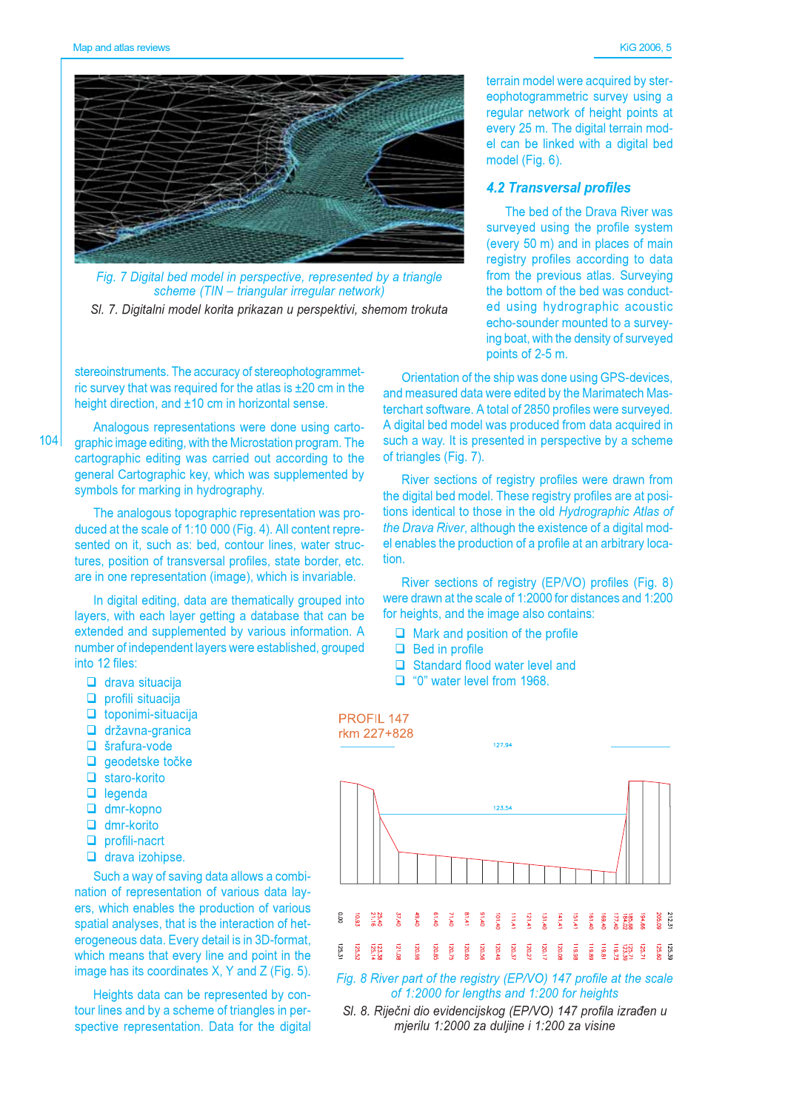

Fig. 7 Digital bed model in perspective, represented by a triangle scheme (TIN - triangular irregular network)

SI. 7. Digitalni model korita prikazan u perspektivi, shemom trokuta

stereoinstruments. The accuracy of stereophotogrammetric survey that was required for the atlas is  $\pm 20$  cm in the height direction, and ±10 cm in horizontal sense.

Analogous representations were done using cartographic image editing, with the Microstation program. The cartographic editing was carried out according to the general Cartographic key, which was supplemented by symbols for marking in hydrography.

The analogous topographic representation was produced at the scale of 1:10 000 (Fig. 4). All content represented on it, such as: bed, contour lines, water structures, position of transversal profiles, state border, etc. are in one representation (image), which is invariable.

In digital editing, data are thematically grouped into layers, with each layer getting a database that can be extended and supplemented by various information. A number of independent layers were established, grouped into 12 files:

- $\Box$  drava situacija
- $\Box$  profili situacija
- $\Box$  toponimi-situacija
- $\Box$  državna-granica
- $\Box$  šrafura-vode
- $\Box$  geodetske točke
- $\Box$  staro-korito
- $\Box$  legenda
- $\Box$  dmr-kopno
- $\Box$  dmr-korito
- $\Box$  profili-nacrt
- $\Box$  drava izohipse.

Such a way of saving data allows a combination of representation of various data layers, which enables the production of various spatial analyses, that is the interaction of heterogeneous data. Every detail is in 3D-format. which means that every line and point in the image has its coordinates X, Y and Z (Fig. 5).

Heights data can be represented by contour lines and by a scheme of triangles in perspective representation. Data for the digital terrain model were acquired by stereophotogrammetric survey using a regular network of height points at every 25 m. The digital terrain model can be linked with a digital bed model (Fig. 6).

#### **4.2 Transversal profiles**

The bed of the Drava River was surveyed using the profile system (every 50 m) and in places of main registry profiles according to data from the previous atlas. Surveying the bottom of the bed was conducted using hydrographic acoustic echo-sounder mounted to a surveying boat, with the density of surveyed points of 2-5 m.

Orientation of the ship was done using GPS-devices, and measured data were edited by the Marimatech Masterchart software. A total of 2850 profiles were surveyed. A digital bed model was produced from data acquired in such a way. It is presented in perspective by a scheme of triangles (Fig. 7).

River sections of registry profiles were drawn from the digital bed model. These registry profiles are at positions identical to those in the old Hydrographic Atlas of the Drava River, although the existence of a digital model enables the production of a profile at an arbitrary location.

River sections of registry (EP/VO) profiles (Fig. 8) were drawn at the scale of 1:2000 for distances and 1:200 for heights, and the image also contains:

- $\Box$  Mark and position of the profile
- $\Box$  Bed in profile
- □ Standard flood water level and
- □ "0" water level from 1968.



of 1:2000 for lengths and 1:200 for heights

SI. 8. Riječni dio evidencijskog (EP/VO) 147 profila izrađen u mjerilu 1:2000 za duljine i 1:200 za visine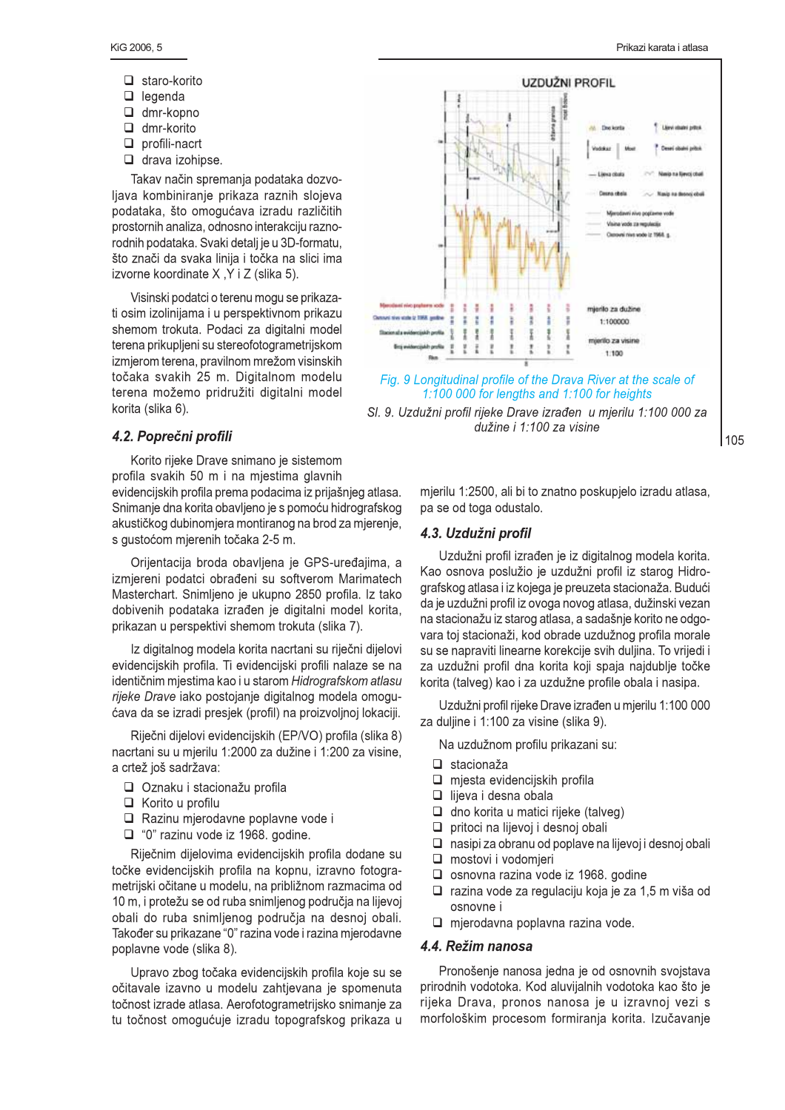- $\Box$  staro-korito  $\Box$  legenda
- $\Box$  dmr-kopno
- $\Box$  dmr-korito
- $\Box$  profili-nacrt
- $\Box$  drava izohipse.

Takav način spremanja podataka dozvoljava kombiniranje prikaza raznih slojeva podataka, što omogućava izradu različitih prostornih analiza, odnosno interakciju raznorodnih podataka. Svaki detali je u 3D-formatu, što znači da svaka linija i točka na slici ima izvorne koordinate X, Y i Z (slika 5).

Visinski podatci o terenu mogu se prikazati osim izolinijama i u perspektivnom prikazu shemom trokuta. Podaci za digitalni model terena prikupljeni su stereofotogrametrijskom izmjerom terena, pravilnom mrežom visinskih točaka svakih 25 m. Digitalnom modelu terena možemo pridružiti digitalni model korita (slika 6).

## 4.2. Poprečni profili

Korito rijeke Drave snimano je sistemom profila svakih 50 m i na mjestima glavnih evidencijskih profila prema podacima iz prijašnjeg atlasa. Snimanje dna korita obavljeno je s pomoću hidrografskog akustičkog dubinomjera montiranog na brod za mjerenje, s gustoćom mjerenih točaka 2-5 m.

Orijentacija broda obavljena je GPS-uređajima, a izmjereni podatci obrađeni su softverom Marimatech Masterchart. Snimljeno je ukupno 2850 profila. Iz tako dobivenih podataka izrađen je digitalni model korita, prikazan u perspektivi shemom trokuta (slika 7).

Iz digitalnog modela korita nacrtani su riječni dijelovi evidencijskih profila. Ti evidencijski profili nalaze se na identičnim mjestima kao i u starom Hidrografskom atlasu rijeke Drave iako postojanje digitalnog modela omogućava da se izradi presjek (profil) na proizvoljnoj lokaciji.

Riječni dijelovi evidencijskih (EP/VO) profila (slika 8) nacrtani su u mjerilu 1:2000 za dužine i 1:200 za visine, a crtež još sadržava:

- □ Oznaku i stacionažu profila
- $\Box$  Korito u profilu
- Razinu mjerodavne poplavne vode i
- □ "0" razinu vode iz 1968. godine.

Riječnim dijelovima evidencijskih profila dodane su točke evidencijskih profila na kopnu, izravno fotogrametrijski očitane u modelu, na približnom razmacima od 10 m, i protežu se od ruba snimljenog područja na lijevoj obali do ruba snimljenog područja na desnoj obali. Također su prikazane "0" razina vode i razina mjerodavne poplavne vode (slika 8).

Upravo zbog točaka evidencijskih profila koje su se očitavale izavno u modelu zahtjevana je spomenuta točnost izrade atlasa. Aerofotogrametrijsko snimanje za tu točnost omogućuje izradu topografskog prikaza u







mjerilu 1:2500, ali bi to znatno poskupjelo izradu atlasa, pa se od toga odustalo.

#### 4.3. Uzdužni profil

Uzdužni profil izrađen je iz digitalnog modela korita. Kao osnova poslužio je uzdužni profil iz starog Hidrografskog atlasa i iz kojega je preuzeta stacionaža. Budući da je uzdužni profil iz ovoga novog atlasa, dužinski vezan na stacionažu iz starog atlasa, a sadašnje korito ne odgovara toj stacionaži, kod obrade uzdužnog profila morale su se napraviti linearne korekcije svih duljina. To vrijedi i za uzdužni profil dna korita koji spaja najdublje točke korita (talveg) kao i za uzdužne profile obala i nasipa.

Uzdužni profil rijeke Drave izrađen u mjerilu 1:100 000 za duljine i 1:100 za visine (slika 9).

Na uzdužnom profilu prikazani su:

- $\Box$  stacionaža
- $\Box$  miesta evidencijskih profila
- $\Box$  lijeva i desna obala
- $\Box$  dno korita u matici rijeke (talveg)
- pritoci na lijevoj i desnoj obali
- $\Box$  nasipi za obranu od poplave na lijevoj i desnoj obali
- $\Box$  mostovi i vodomieri
- $\Box$  osnovna razina vode iz 1968. godine
- □ razina vode za regulaciju koja je za 1,5 m viša od osnovne i
- $\Box$  mjerodavna poplavna razina vode.

#### 4.4. Režim nanosa

Pronošenje nanosa jedna je od osnovnih svojstava prirodnih vodotoka. Kod aluvijalnih vodotoka kao što je rijeka Drava, pronos nanosa je u izravnoj vezi s morfološkim procesom formiranja korita. Izučavanje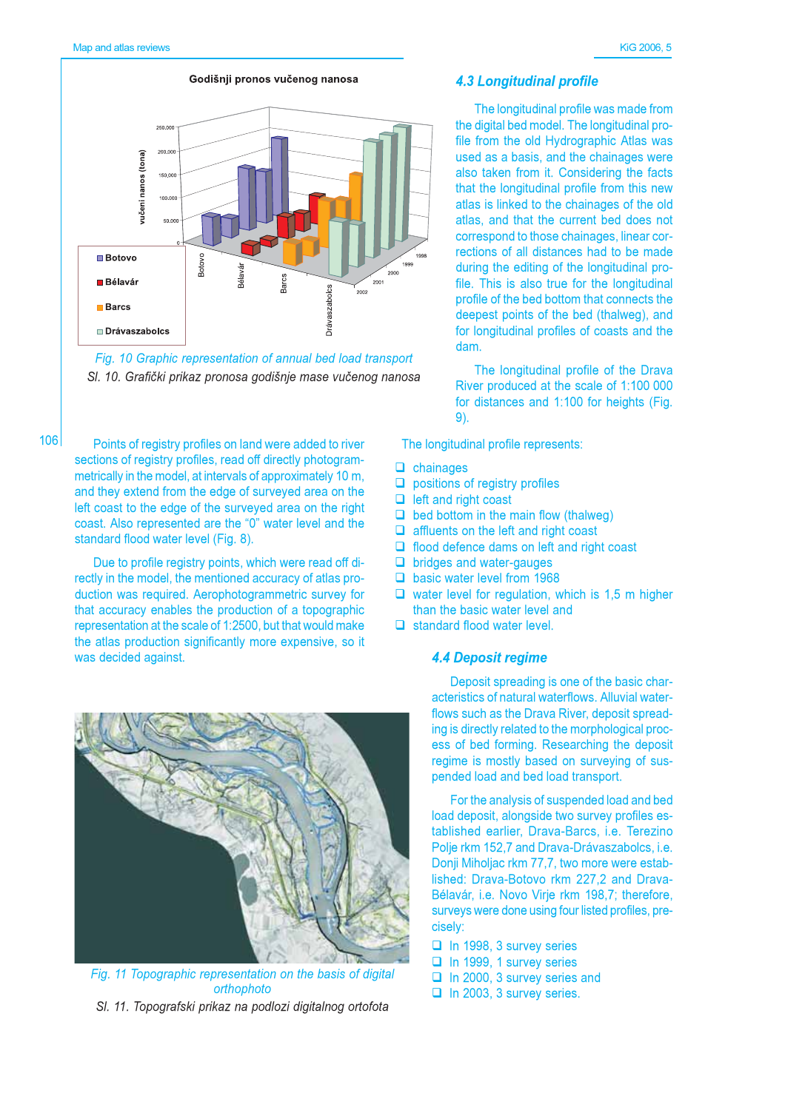

Fig. 10 Graphic representation of annual bed load transport SI. 10. Grafički prikaz pronosa godišnje mase vučenog nanosa

 $106$ 

Points of registry profiles on land were added to river sections of registry profiles, read off directly photogrammetrically in the model, at intervals of approximately 10 m, and they extend from the edge of surveyed area on the left coast to the edge of the surveyed area on the right coast. Also represented are the "0" water level and the standard flood water level (Fig. 8).

Due to profile registry points, which were read off directly in the model, the mentioned accuracy of atlas production was required. Aerophotogrammetric survey for that accuracy enables the production of a topographic representation at the scale of 1:2500, but that would make the atlas production significantly more expensive, so it was decided against.



Fig. 11 Topographic representation on the basis of digital orthophoto

SI, 11. Topografski prikaz na podlozi digitalnog ortofota

#### **4.3 Longitudinal profile**

The longitudinal profile was made from the digital bed model. The longitudinal profile from the old Hydrographic Atlas was used as a basis, and the chainages were also taken from it. Considering the facts that the longitudinal profile from this new atlas is linked to the chainages of the old atlas, and that the current bed does not correspond to those chainages, linear corrections of all distances had to be made during the editing of the longitudinal profile. This is also true for the longitudinal profile of the bed bottom that connects the deepest points of the bed (thalweg), and for longitudinal profiles of coasts and the dam.

The longitudinal profile of the Drava River produced at the scale of 1:100 000 for distances and 1:100 for heights (Fig.  $9)$ .

The longitudinal profile represents:

- $\Box$  chainages
- $\Box$  positions of registry profiles
- $\Box$  left and right coast
- $\Box$  bed bottom in the main flow (thalwed)
- $\Box$  affluents on the left and right coast
- $\Box$  flood defence dams on left and right coast
- $\Box$  bridges and water-gauges
- $\Box$  basic water level from 1968
- $\Box$  water level for regulation, which is 1,5 m higher than the basic water level and
- $\Box$  standard flood water level.

#### **4.4 Deposit regime**

Deposit spreading is one of the basic characteristics of natural waterflows. Alluvial waterflows such as the Drava River, deposit spreading is directly related to the morphological process of bed forming. Researching the deposit regime is mostly based on surveying of suspended load and bed load transport.

For the analysis of suspended load and bed load deposit, alongside two survey profiles established earlier, Drava-Barcs, i.e. Terezino Polje rkm 152,7 and Drava-Drávaszabolcs, i.e. Donji Miholjac rkm 77,7, two more were established: Drava-Botovo rkm 227,2 and Drava-Bélavár, i.e. Novo Virje rkm 198,7; therefore, surveys were done using four listed profiles, precisely:

- In 1998, 3 survey series
- In 1999, 1 survey series
- In 2000, 3 survey series and
- $\Box$  In 2003, 3 survey series.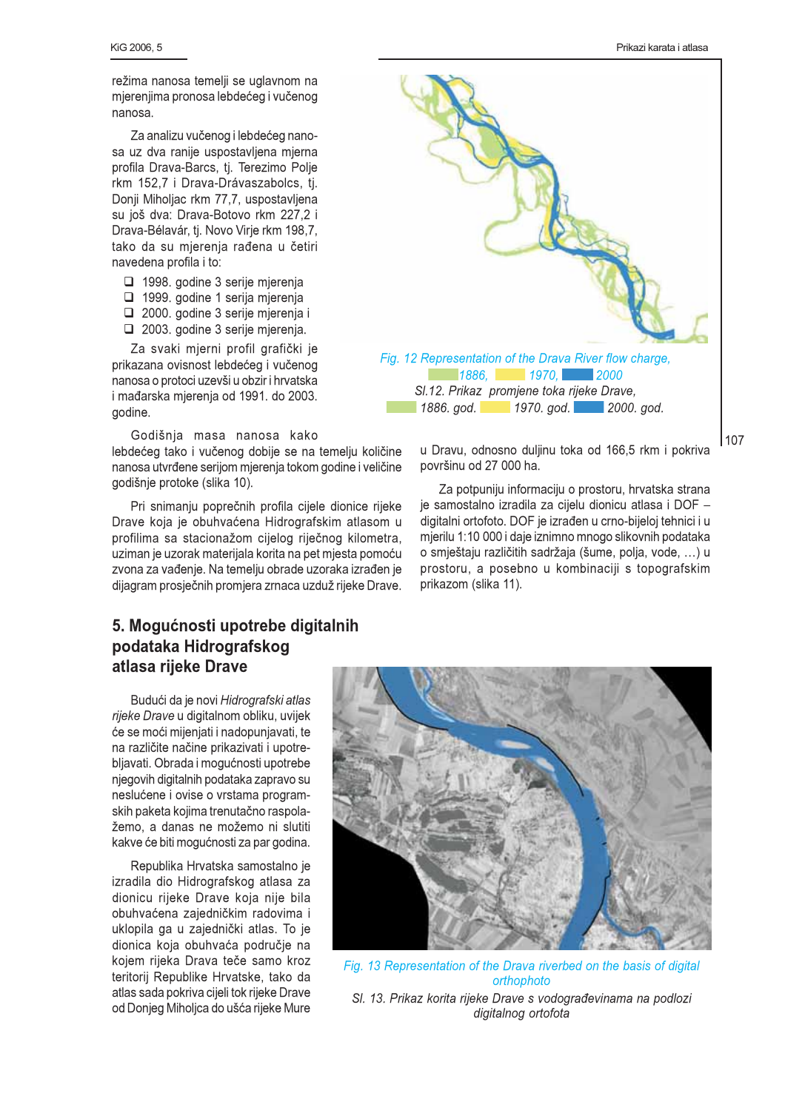režima nanosa temelji se uglavnom na miereniima pronosa lebdećeg i vučenog nanosa.

Za analizu vučenog i lebdećeg nanosa uz dva ranije uspostavljena mjerna profila Drava-Barcs, tj. Terezimo Polje rkm 152,7 i Drava-Drávaszabolcs, tj. Donji Miholjac rkm 77,7, uspostavljena su još dva: Drava-Botovo rkm 227,2 i Drava-Bélavár, tj. Novo Virje rkm 198,7, tako da su mjerenja rađena u četiri navedena profila i to:

- □ 1998. godine 3 serije mjerenja
- □ 1999. godine 1 serija mjerenja
- $\Box$  2000. godine 3 serije mjerenja i
- 2003. godine 3 serije mjerenja.

Za svaki mjerni profil grafički je prikazana ovisnost lebdećeg i vučenog nanosa o protoci uzevši u obzir i hrvatska i mađarska mjerenja od 1991. do 2003. godine.

Godišnja masa nanosa kako

lebdećeg tako i vučenog dobije se na temelju količine nanosa utvrđene serijom mjerenja tokom godine i veličine godišnje protoke (slika 10).

Pri snimanju poprečnih profila cijele dionice rijeke Drave koja je obuhvaćena Hidrografskim atlasom u profilima sa stacionažom cijelog riječnog kilometra, uziman je uzorak materijala korita na pet mjesta pomoću zvona za vađenje. Na temelju obrade uzoraka izrađen je dijagram prosječnih promjera zrnaca uzduž rijeke Drave.

# 5. Mogućnosti upotrebe digitalnih podataka Hidrografskog atlasa rijeke Drave

Budući da je novi Hidrografski atlas rijeke Drave u digitalnom obliku, uvijek će se moći mijenjati i nadopunjavati, te na različite načine prikazivati i upotrebljavati. Obrada i mogućnosti upotrebe njegovih digitalnih podataka zapravo su neslućene i ovise o vrstama programskih paketa kojima trenutačno raspolažemo, a danas ne možemo ni slutiti kakve će biti mogućnosti za par godina.

Republika Hrvatska samostalno je izradila dio Hidrografskog atlasa za dionicu rijeke Drave koja nije bila obuhvaćena zajedničkim radovima i uklopila ga u zajednički atlas. To je dionica koja obuhvaća područje na kojem rijeka Drava teče samo kroz teritorij Republike Hrvatske, tako da atlas sada pokriva cijeli tok rijeke Drave od Donjeg Miholjca do ušća rijeke Mure



u Dravu, odnosno duljinu toka od 166,5 rkm i pokriva površinu od 27 000 ha.

Za potpuniju informaciju o prostoru, hrvatska strana je samostalno izradila za cijelu dionicu atlasa i DOF digitalni ortofoto. DOF je izrađen u crno-bijeloj tehnici i u mjerilu 1:10 000 i daje iznimno mnogo slikovnih podataka o smještaju različitih sadržaja (šume, polja, vode, ...) u prostoru, a posebno u kombinaciji s topografskim prikazom (slika 11).



Fig. 13 Representation of the Drava riverbed on the basis of digital orthophoto

SI. 13. Prikaz korita rijeke Drave s vodograđevinama na podlozi digitalnog ortofota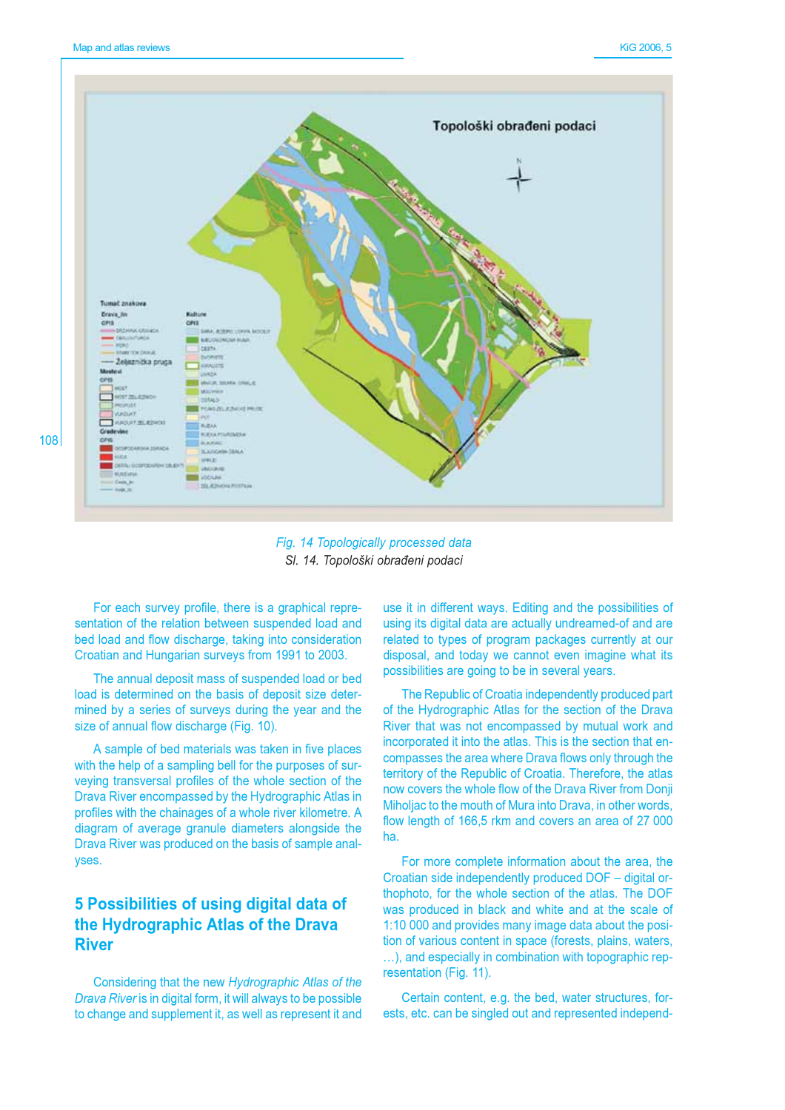

Fig. 14 Topologically processed data SI. 14. Topološki obrađeni podaci

For each survey profile, there is a graphical representation of the relation between suspended load and bed load and flow discharge, taking into consideration Croatian and Hungarian surveys from 1991 to 2003.

The annual deposit mass of suspended load or bed load is determined on the basis of deposit size determined by a series of surveys during the year and the size of annual flow discharge (Fig. 10).

A sample of bed materials was taken in five places with the help of a sampling bell for the purposes of surveying transversal profiles of the whole section of the Drava River encompassed by the Hydrographic Atlas in profiles with the chainages of a whole river kilometre. A diagram of average granule diameters alongside the Drava River was produced on the basis of sample analyses.

# 5 Possibilities of using digital data of the Hydrographic Atlas of the Drava **River**

Considering that the new Hydrographic Atlas of the Drava River is in digital form, it will always to be possible to change and supplement it, as well as represent it and use it in different ways. Editing and the possibilities of using its digital data are actually undreamed-of and are related to types of program packages currently at our disposal, and today we cannot even imagine what its possibilities are going to be in several years.

The Republic of Croatia independently produced part of the Hydrographic Atlas for the section of the Drava River that was not encompassed by mutual work and incorporated it into the atlas. This is the section that encompasses the area where Drava flows only through the territory of the Republic of Croatia. Therefore, the atlas now covers the whole flow of the Drava River from Donji Miholiac to the mouth of Mura into Drava, in other words, flow length of 166,5 rkm and covers an area of 27 000 ha.

For more complete information about the area, the Croatian side independently produced DOF - digital orthophoto, for the whole section of the atlas. The DOF was produced in black and white and at the scale of 1:10 000 and provides many image data about the position of various content in space (forests, plains, waters, ...), and especially in combination with topographic representation (Fig. 11).

Certain content, e.g. the bed, water structures, forests, etc. can be singled out and represented independ-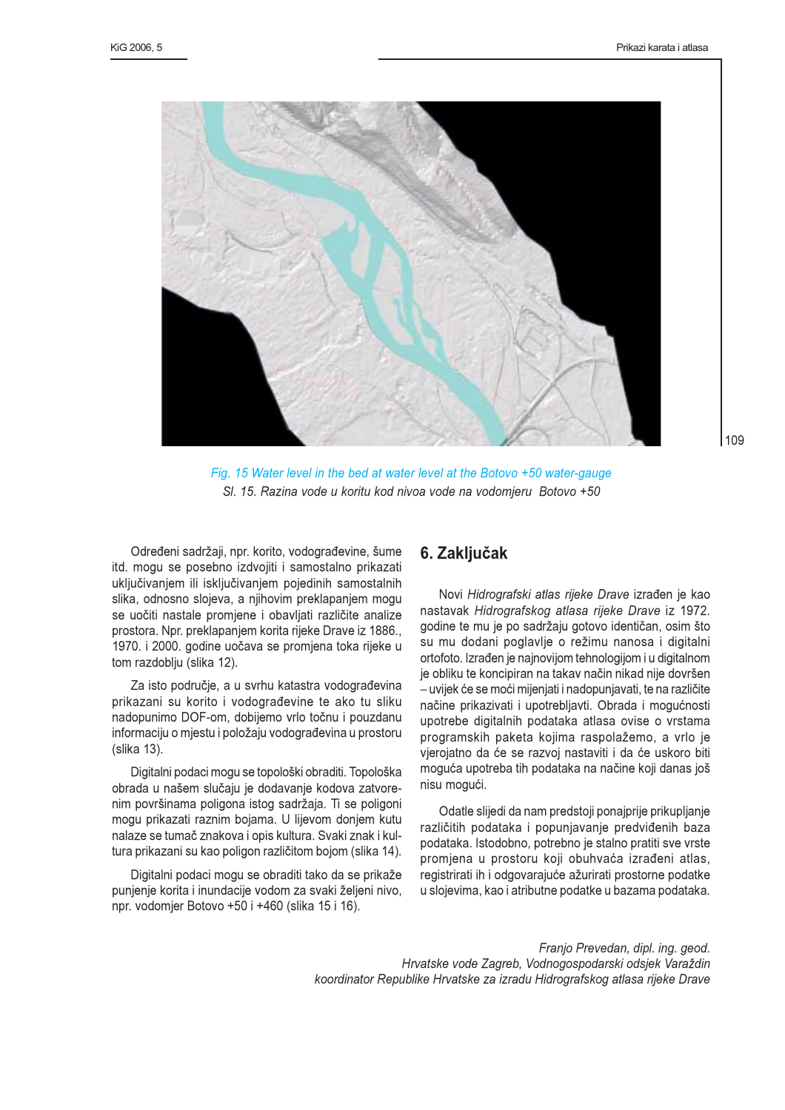

Fig. 15 Water level in the bed at water level at the Botovo +50 water-gauge SI. 15. Razina vode u koritu kod nivoa vode na vodomieru Botovo +50

Određeni sadržaji, npr. korito, vodograđevine, šume itd. mogu se posebno izdvojiti i samostalno prikazati uključivanjem ili isključivanjem pojedinih samostalnih slika, odnosno slojeva, a njihovim preklapanjem mogu se uočiti nastale promjene i obavljati različite analize prostora. Npr. preklapanjem korita rijeke Drave iz 1886., 1970. i 2000. godine uočava se promjena toka rijeke u tom razdoblju (slika 12).

Za isto područje, a u svrhu katastra vodograđevina prikazani su korito i vodograđevine te ako tu sliku nadopunimo DOF-om. dobijemo vrlo točnu i pouzdanu informaciju o mjestu i položaju vodograđevina u prostoru (slika 13).

Digitalni podaci mogu se topološki obraditi. Topološka obrada u našem slučaju je dodavanje kodova zatvorenim površinama poligona istog sadržaja. Ti se poligoni mogu prikazati raznim bojama. U lijevom donjem kutu nalaze se tumač znakova i opis kultura. Svaki znak i kultura prikazani su kao poligon različitom bojom (slika 14).

Digitalni podaci mogu se obraditi tako da se prikaže punjenje korita i inundacije vodom za svaki željeni nivo, npr. vodomjer Botovo +50 i +460 (slika 15 i 16).

### 6. Zaključak

Novi Hidrografski atlas rijeke Drave izrađen je kao nastavak Hidrografskog atlasa rijeke Drave iz 1972. godine te mu je po sadržaju gotovo identičan, osim što su mu dodani poglavlje o režimu nanosa i digitalni ortofoto. Izrađen je najnovijom tehnologijom i u digitalnom je obliku te koncipiran na takav način nikad nije dovršen - uvijek će se moći mijenjati i nadopunjavati, te na različite načine prikazivati i upotrebljavti. Obrada i mogućnosti upotrebe digitalnih podataka atlasa ovise o vrstama programskih paketa kojima raspolažemo, a vrlo je vjerojatno da će se razvoj nastaviti i da će uskoro biti moguća upotreba tih podataka na načine koji danas još nisu mogući.

Odatle slijedi da nam predstoji ponajprije prikupljanje različitih podataka i popunjavanje predviđenih baza podataka. Istodobno, potrebno je stalno pratiti sve vrste promjena u prostoru koji obuhvaća izrađeni atlas, registrirati ih i odgovarajuće ažurirati prostorne podatke u slojevima, kao i atributne podatke u bazama podataka.

Franjo Prevedan, dipl. ing. geod. Hrvatske vode Zagreb, Vodnogospodarski odsjek Varaždin koordinator Republike Hrvatske za izradu Hidrografskog atlasa rijeke Drave